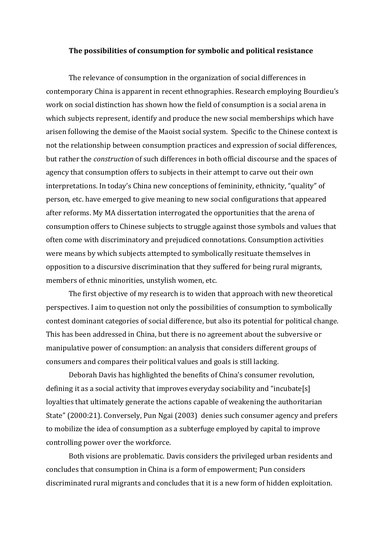#### The possibilities of consumption for symbolic and political resistance

The relevance of consumption in the organization of social differences in contemporary China is apparent in recent ethnographies. Research employing Bourdieu's work on social distinction has shown how the field of consumption is a social arena in which subjects represent, identify and produce the new social memberships which have arisen following the demise of the Maoist social system. Specific to the Chinese context is not the relationship between consumption practices and expression of social differences, but rather the construction of such differences in both official discourse and the spaces of agency that consumption offers to subjects in their attempt to carve out their own interpretations. In today's China new conceptions of femininity, ethnicity, "quality" of person, etc. have emerged to give meaning to new social configurations that appeared after reforms. My MA dissertation interrogated the opportunities that the arena of consumption offers to Chinese subjects to struggle against those symbols and values that often come with discriminatory and prejudiced connotations. Consumption activities were means by which subjects attempted to symbolically resituate themselves in opposition to a discursive discrimination that they suffered for being rural migrants, members of ethnic minorities, unstylish women, etc.

The first objective of my research is to widen that approach with new theoretical perspectives. I aim to question not only the possibilities of consumption to symbolically contest dominant categories of social difference, but also its potential for political change. This has been addressed in China, but there is no agreement about the subversive or manipulative power of consumption: an analysis that considers different groups of consumers and compares their political values and goals is still lacking.

Deborah Davis has highlighted the benefits of China's consumer revolution, defining it as a social activity that improves everyday sociability and "incubate[s] loyalties that ultimately generate the actions capable of weakening the authoritarian State" (2000:21). Conversely, Pun Ngai (2003) denies such consumer agency and prefers to mobilize the idea of consumption as a subterfuge employed by capital to improve controlling power over the workforce.

Both visions are problematic. Davis considers the privileged urban residents and concludes that consumption in China is a form of empowerment; Pun considers discriminated rural migrants and concludes that it is a new form of hidden exploitation.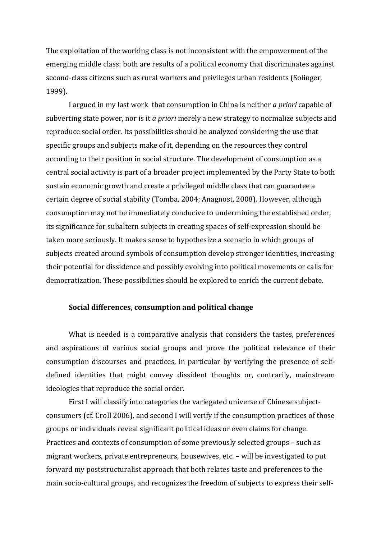The exploitation of the working class is not inconsistent with the empowerment of the emerging middle class: both are results of a political economy that discriminates against second-class citizens such as rural workers and privileges urban residents (Solinger, 1999).

I argued in my last work that consumption in China is neither *a priori* capable of subverting state power, nor is it a priori merely a new strategy to normalize subjects and reproduce social order. Its possibilities should be analyzed considering the use that specific groups and subjects make of it, depending on the resources they control according to their position in social structure. The development of consumption as a central social activity is part of a broader project implemented by the Party State to both sustain economic growth and create a privileged middle class that can guarantee a certain degree of social stability (Tomba, 2004; Anagnost, 2008). However, although consumption may not be immediately conducive to undermining the established order, its significance for subaltern subjects in creating spaces of self-expression should be taken more seriously. It makes sense to hypothesize a scenario in which groups of subjects created around symbols of consumption develop stronger identities, increasing their potential for dissidence and possibly evolving into political movements or calls for democratization. These possibilities should be explored to enrich the current debate.

## Social differences, consumption and political change

What is needed is a comparative analysis that considers the tastes, preferences and aspirations of various social groups and prove the political relevance of their consumption discourses and practices, in particular by verifying the presence of selfdefined identities that might convey dissident thoughts or, contrarily, mainstream ideologies that reproduce the social order.

First I will classify into categories the variegated universe of Chinese subjectconsumers (cf. Croll 2006), and second I will verify if the consumption practices of those groups or individuals reveal significant political ideas or even claims for change. Practices and contexts of consumption of some previously selected groups – such as migrant workers, private entrepreneurs, housewives, etc. – will be investigated to put forward my poststructuralist approach that both relates taste and preferences to the main socio-cultural groups, and recognizes the freedom of subjects to express their self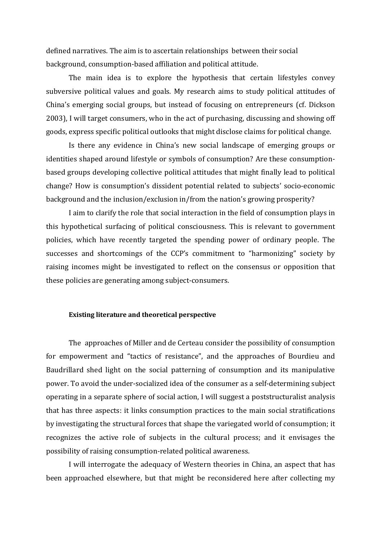defined narratives. The aim is to ascertain relationships between their social background, consumption-based affiliation and political attitude.

The main idea is to explore the hypothesis that certain lifestyles convey subversive political values and goals. My research aims to study political attitudes of China's emerging social groups, but instead of focusing on entrepreneurs (cf. Dickson 2003), I will target consumers, who in the act of purchasing, discussing and showing off goods, express specific political outlooks that might disclose claims for political change.

Is there any evidence in China's new social landscape of emerging groups or identities shaped around lifestyle or symbols of consumption? Are these consumptionbased groups developing collective political attitudes that might finally lead to political change? How is consumption's dissident potential related to subjects' socio-economic background and the inclusion/exclusion in/from the nation's growing prosperity?

I aim to clarify the role that social interaction in the field of consumption plays in this hypothetical surfacing of political consciousness. This is relevant to government policies, which have recently targeted the spending power of ordinary people. The successes and shortcomings of the CCP's commitment to "harmonizing" society by raising incomes might be investigated to reflect on the consensus or opposition that these policies are generating among subject-consumers.

## Existing literature and theoretical perspective

The approaches of Miller and de Certeau consider the possibility of consumption for empowerment and "tactics of resistance", and the approaches of Bourdieu and Baudrillard shed light on the social patterning of consumption and its manipulative power. To avoid the under-socialized idea of the consumer as a self-determining subject operating in a separate sphere of social action, I will suggest a poststructuralist analysis that has three aspects: it links consumption practices to the main social stratifications by investigating the structural forces that shape the variegated world of consumption; it recognizes the active role of subjects in the cultural process; and it envisages the possibility of raising consumption-related political awareness.

I will interrogate the adequacy of Western theories in China, an aspect that has been approached elsewhere, but that might be reconsidered here after collecting my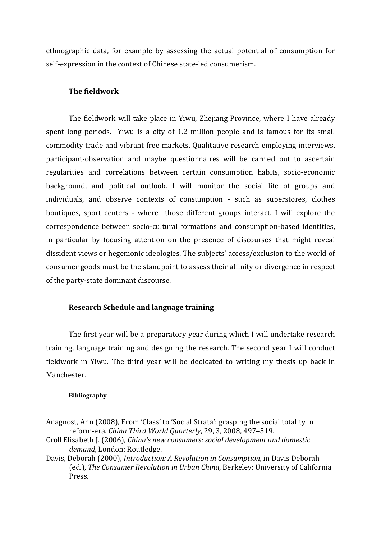ethnographic data, for example by assessing the actual potential of consumption for self-expression in the context of Chinese state-led consumerism.

# The fieldwork

The fieldwork will take place in Yiwu, Zhejiang Province, where I have already spent long periods. Yiwu is a city of 1.2 million people and is famous for its small commodity trade and vibrant free markets. Qualitative research employing interviews, participant-observation and maybe questionnaires will be carried out to ascertain regularities and correlations between certain consumption habits, socio-economic background, and political outlook. I will monitor the social life of groups and individuals, and observe contexts of consumption - such as superstores, clothes boutiques, sport centers - where those different groups interact. I will explore the correspondence between socio-cultural formations and consumption-based identities, in particular by focusing attention on the presence of discourses that might reveal dissident views or hegemonic ideologies. The subjects' access/exclusion to the world of consumer goods must be the standpoint to assess their affinity or divergence in respect of the party-state dominant discourse.

## Research Schedule and language training

The first year will be a preparatory year during which I will undertake research training, language training and designing the research. The second year I will conduct fieldwork in Yiwu. The third year will be dedicated to writing my thesis up back in Manchester.

### Bibliography

Anagnost, Ann (2008), From 'Class' to 'Social Strata': grasping the social totality in reform-era. China Third World Quarterly, 29, 3, 2008, 497–519.

Croll Elisabeth J. (2006), China's new consumers: social development and domestic demand, London: Routledge.

Davis, Deborah (2000), Introduction: A Revolution in Consumption, in Davis Deborah (ed.), The Consumer Revolution in Urban China, Berkeley: University of California Press.